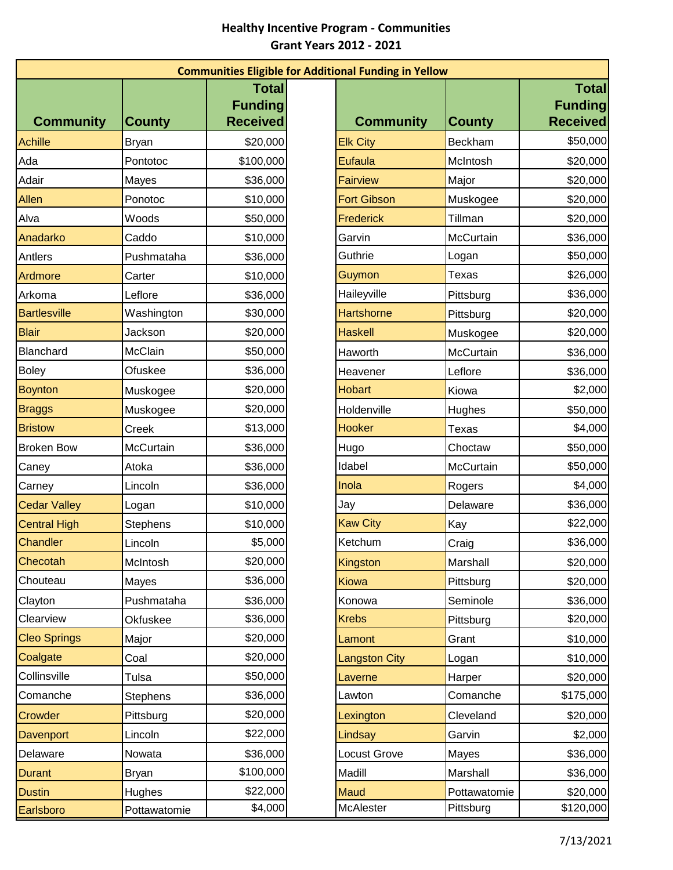## **Healthy Incentive Program - Communities Grant Years 2012 - 2021**

| <b>Communities Eligible for Additional Funding in Yellow</b> |                 |                                                   |  |                      |               |                                                   |  |  |  |
|--------------------------------------------------------------|-----------------|---------------------------------------------------|--|----------------------|---------------|---------------------------------------------------|--|--|--|
| <b>Community</b>                                             | <b>County</b>   | <b>Total</b><br><b>Funding</b><br><b>Received</b> |  | <b>Community</b>     | <b>County</b> | <b>Total</b><br><b>Funding</b><br><b>Received</b> |  |  |  |
| <b>Achille</b>                                               | <b>Bryan</b>    | \$20,000                                          |  | <b>Elk City</b>      | Beckham       | \$50,000                                          |  |  |  |
| Ada                                                          | Pontotoc        | \$100,000                                         |  | Eufaula              | McIntosh      | \$20,000                                          |  |  |  |
| Adair                                                        | Mayes           | \$36,000                                          |  | <b>Fairview</b>      | Major         | \$20,000                                          |  |  |  |
| Allen                                                        | Ponotoc         | \$10,000                                          |  | <b>Fort Gibson</b>   | Muskogee      | \$20,000                                          |  |  |  |
| Alva                                                         | Woods           | \$50,000                                          |  | <b>Frederick</b>     | Tillman       | \$20,000                                          |  |  |  |
| Anadarko                                                     | Caddo           | \$10,000                                          |  | Garvin               | McCurtain     | \$36,000                                          |  |  |  |
| Antlers                                                      | Pushmataha      | \$36,000                                          |  | Guthrie              | Logan         | \$50,000                                          |  |  |  |
| Ardmore                                                      | Carter          | \$10,000                                          |  | Guymon               | <b>Texas</b>  | \$26,000                                          |  |  |  |
| Arkoma                                                       | Leflore         | \$36,000                                          |  | Haileyville          | Pittsburg     | \$36,000                                          |  |  |  |
| <b>Bartlesville</b>                                          | Washington      | \$30,000                                          |  | <b>Hartshorne</b>    | Pittsburg     | \$20,000                                          |  |  |  |
| <b>Blair</b>                                                 | Jackson         | \$20,000                                          |  | <b>Haskell</b>       | Muskogee      | \$20,000                                          |  |  |  |
| Blanchard                                                    | McClain         | \$50,000                                          |  | Haworth              | McCurtain     | \$36,000                                          |  |  |  |
| <b>Boley</b>                                                 | Ofuskee         | \$36,000                                          |  | Heavener             | Leflore       | \$36,000                                          |  |  |  |
| <b>Boynton</b>                                               | Muskogee        | \$20,000                                          |  | <b>Hobart</b>        | Kiowa         | \$2,000                                           |  |  |  |
| <b>Braggs</b>                                                | Muskogee        | \$20,000                                          |  | Holdenville          | Hughes        | \$50,000                                          |  |  |  |
| <b>Bristow</b>                                               | Creek           | \$13,000                                          |  | <b>Hooker</b>        | Texas         | \$4,000                                           |  |  |  |
| <b>Broken Bow</b>                                            | McCurtain       | \$36,000                                          |  | Hugo                 | Choctaw       | \$50,000                                          |  |  |  |
| Caney                                                        | Atoka           | \$36,000                                          |  | Idabel               | McCurtain     | \$50,000                                          |  |  |  |
| Carney                                                       | Lincoln         | \$36,000                                          |  | Inola                | Rogers        | \$4,000                                           |  |  |  |
| <b>Cedar Valley</b>                                          | Logan           | \$10,000                                          |  | Jay                  | Delaware      | \$36,000                                          |  |  |  |
| <b>Central High</b>                                          | <b>Stephens</b> | \$10,000                                          |  | <b>Kaw City</b>      | Kay           | \$22,000                                          |  |  |  |
| Chandler                                                     | Lincoln         | \$5,000                                           |  | Ketchum              | Craig         | \$36,000                                          |  |  |  |
| Checotah                                                     | McIntosh        | \$20,000                                          |  | Kingston             | Marshall      | \$20,000                                          |  |  |  |
| Chouteau                                                     | Mayes           | \$36,000                                          |  | <b>Kiowa</b>         | Pittsburg     | \$20,000                                          |  |  |  |
| Clayton                                                      | Pushmataha      | \$36,000                                          |  | Konowa               | Seminole      | \$36,000                                          |  |  |  |
| Clearview                                                    | Okfuskee        | \$36,000                                          |  | <b>Krebs</b>         | Pittsburg     | \$20,000                                          |  |  |  |
| <b>Cleo Springs</b>                                          | Major           | \$20,000                                          |  | Lamont               | Grant         | \$10,000                                          |  |  |  |
| Coalgate                                                     | Coal            | \$20,000                                          |  | <b>Langston City</b> | Logan         | \$10,000                                          |  |  |  |
| Collinsville                                                 | Tulsa           | \$50,000                                          |  | Laverne              | Harper        | \$20,000                                          |  |  |  |
| Comanche                                                     | <b>Stephens</b> | \$36,000                                          |  | Lawton               | Comanche      | \$175,000                                         |  |  |  |
| Crowder                                                      | Pittsburg       | \$20,000                                          |  | Lexington            | Cleveland     | \$20,000                                          |  |  |  |
| <b>Davenport</b>                                             | Lincoln         | \$22,000                                          |  | Lindsay              | Garvin        | \$2,000                                           |  |  |  |
| Delaware                                                     | Nowata          | \$36,000                                          |  | ocust Grove          | Mayes         | \$36,000                                          |  |  |  |
| <b>Durant</b>                                                | Bryan           | \$100,000                                         |  | Madill               | Marshall      | \$36,000                                          |  |  |  |
| <b>Dustin</b>                                                | Hughes          | \$22,000                                          |  | <b>Maud</b>          | Pottawatomie  | \$20,000                                          |  |  |  |
| Earlsboro                                                    | Pottawatomie    | \$4,000                                           |  | McAlester            | Pittsburg     | \$120,000                                         |  |  |  |